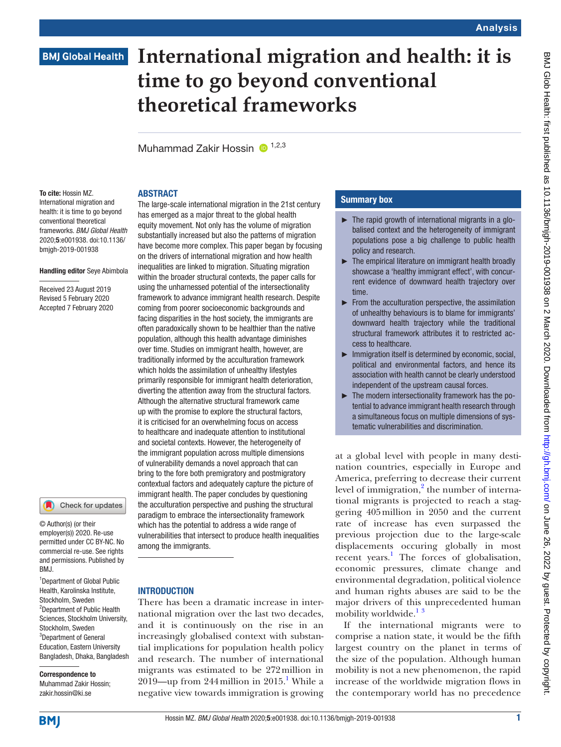# **International migration and health: it is time to go beyond conventional theoretical frameworks**

Muhammad Zakir Hossin  $\bullet$ <sup>1,2,3</sup>

**ABSTRACT** 

# To cite: Hossin MZ.

International migration and health: it is time to go beyond conventional theoretical frameworks. *BMJ Global Health* 2020;5:e001938. doi:10.1136/ bmjgh-2019-001938

#### Handling editor Seye Abimbola

Received 23 August 2019 Revised 5 February 2020 Accepted 7 February 2020

## Check for updates

© Author(s) (or their employer(s)) 2020. Re-use permitted under CC BY-NC. No commercial re-use. See rights and permissions. Published by BMJ.

<sup>1</sup>Department of Global Public Health, Karolinska Institute, Stockholm, Sweden <sup>2</sup>Department of Public Health Sciences, Stockholm University, Stockholm, Sweden 3 Department of General Education, Eastern University Bangladesh, Dhaka, Bangladesh

Correspondence to Muhammad Zakir Hossin; zakir.hossin@ki.se

#### The large-scale international migration in the 21st century has emerged as a major threat to the global health equity movement. Not only has the volume of migration substantially increased but also the patterns of migration have become more complex. This paper began by focusing on the drivers of international migration and how health inequalities are linked to migration. Situating migration within the broader structural contexts, the paper calls for using the unharnessed potential of the intersectionality framework to advance immigrant health research. Despite coming from poorer socioeconomic backgrounds and facing disparities in the host society, the immigrants are often paradoxically shown to be healthier than the native population, although this health advantage diminishes over time. Studies on immigrant health, however, are traditionally informed by the acculturation framework which holds the assimilation of unhealthy lifestyles primarily responsible for immigrant health deterioration, diverting the attention away from the structural factors. Although the alternative structural framework came up with the promise to explore the structural factors, it is criticised for an overwhelming focus on access to healthcare and inadequate attention to institutional and societal contexts. However, the heterogeneity of the immigrant population across multiple dimensions of vulnerability demands a novel approach that can bring to the fore both premigratory and postmigratory contextual factors and adequately capture the picture of immigrant health. The paper concludes by questioning the acculturation perspective and pushing the structural paradigm to embrace the intersectionality framework which has the potential to address a wide range of vulnerabilities that intersect to produce health inequalities among the immigrants.

#### **INTRODUCTION**

There has been a dramatic increase in international migration over the last two decades, and it is continuously on the rise in an increasingly globalised context with substantial implications for population health policy and research. The number of international migrants was estimated to be 272million in 20[1](#page-5-0)9—up from 244 million in 2015.<sup>1</sup> While a negative view towards immigration is growing

### Summary box

- $\blacktriangleright$  The rapid growth of international migrants in a globalised context and the heterogeneity of immigrant populations pose a big challenge to public health policy and research.
- ► The empirical literature on immigrant health broadly showcase a 'healthy immigrant effect', with concurrent evidence of downward health trajectory over time.
- ► From the acculturation perspective, the assimilation of unhealthy behaviours is to blame for immigrants' downward health trajectory while the traditional structural framework attributes it to restricted access to healthcare.
- ► Immigration itself is determined by economic, social, political and environmental factors, and hence its association with health cannot be clearly understood independent of the upstream causal forces.
- ► The modern intersectionality framework has the potential to advance immigrant health research through a simultaneous focus on multiple dimensions of systematic vulnerabilities and discrimination.

at a global level with people in many destination countries, especially in Europe and America, preferring to decrease their current level of immigration,<sup>2</sup> the number of international migrants is projected to reach a staggering 405million in 2050 and the current rate of increase has even surpassed the previous projection due to the large-scale displacements occuring globally in most recent years.<sup>1</sup> The forces of globalisation, economic pressures, climate change and environmental degradation, political violence and human rights abuses are said to be the major drivers of this unprecedented human mobility worldwide.<sup>[1](#page-5-0)[3](#page-5-2)</sup>

If the international migrants were to comprise a nation state, it would be the fifth largest country on the planet in terms of the size of the population. Although human mobility is not a new phenomenon, the rapid increase of the worldwide migration flows in the contemporary world has no precedence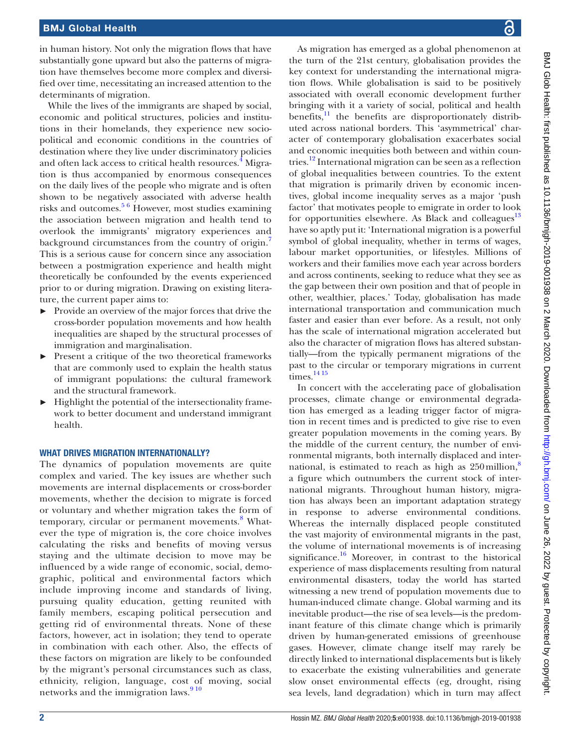in human history. Not only the migration flows that have substantially gone upward but also the patterns of migration have themselves become more complex and diversified over time, necessitating an increased attention to the determinants of migration.

While the lives of the immigrants are shaped by social, economic and political structures, policies and institutions in their homelands, they experience new sociopolitical and economic conditions in the countries of destination where they live under discriminatory policies and often lack access to critical health resources.<sup>4</sup> Migration is thus accompanied by enormous consequences on the daily lives of the people who migrate and is often shown to be negatively associated with adverse health risks and outcomes.[5 6](#page-5-4) However, most studies examining the association between migration and health tend to overlook the immigrants' migratory experiences and background circumstances from the country of origin.<sup>[7](#page-5-5)</sup> This is a serious cause for concern since any association between a postmigration experience and health might theoretically be confounded by the events experienced prior to or during migration. Drawing on existing literature, the current paper aims to:

- ► Provide an overview of the major forces that drive the cross-border population movements and how health inequalities are shaped by the structural processes of immigration and marginalisation.
- Present a critique of the two theoretical frameworks that are commonly used to explain the health status of immigrant populations: the cultural framework and the structural framework.
- ► Highlight the potential of the intersectionality framework to better document and understand immigrant health.

#### WHAT DRIVES MIGRATION INTERNATIONALLY?

The dynamics of population movements are quite complex and varied. The key issues are whether such movements are internal displacements or cross-border movements, whether the decision to migrate is forced or voluntary and whether migration takes the form of temporary, circular or permanent movements.<sup>[8](#page-5-6)</sup> Whatever the type of migration is, the core choice involves calculating the risks and benefits of moving versus staying and the ultimate decision to move may be influenced by a wide range of economic, social, demographic, political and environmental factors which include improving income and standards of living, pursuing quality education, getting reunited with family members, escaping political persecution and getting rid of environmental threats. None of these factors, however, act in isolation; they tend to operate in combination with each other. Also, the effects of these factors on migration are likely to be confounded by the migrant's personal circumstances such as class, ethnicity, religion, language, cost of moving, social networks and the immigration laws.<sup>910</sup>

As migration has emerged as a global phenomenon at the turn of the 21st century, globalisation provides the key context for understanding the international migration flows. While globalisation is said to be positively associated with overall economic development further bringing with it a variety of social, political and health benefits, $11$  the benefits are disproportionately distributed across national borders. This 'asymmetrical' character of contemporary globalisation exacerbates social and economic inequities both between and within countries.<sup>12</sup> International migration can be seen as a reflection of global inequalities between countries. To the extent that migration is primarily driven by economic incentives, global income inequality serves as a major 'push factor' that motivates people to emigrate in order to look for opportunities elsewhere. As Black and colleagues $13$ have so aptly put it: 'International migration is a powerful symbol of global inequality, whether in terms of wages, labour market opportunities, or lifestyles. Millions of workers and their families move each year across borders and across continents, seeking to reduce what they see as the gap between their own position and that of people in other, wealthier, places.' Today, globalisation has made international transportation and communication much faster and easier than ever before. As a result, not only has the scale of international migration accelerated but also the character of migration flows has altered substantially—from the typically permanent migrations of the past to the circular or temporary migrations in current  $times$ <sup>[14 15](#page-5-11)</sup>

In concert with the accelerating pace of globalisation processes, climate change or environmental degradation has emerged as a leading trigger factor of migration in recent times and is predicted to give rise to even greater population movements in the coming years. By the middle of the current century, the number of environmental migrants, both internally displaced and international, is estimated to reach as high as  $250$  million,<sup>[8](#page-5-6)</sup> a figure which outnumbers the current stock of international migrants. Throughout human history, migration has always been an important adaptation strategy in response to adverse environmental conditions. Whereas the internally displaced people constituted the vast majority of environmental migrants in the past, the volume of international movements is of increasing significance.<sup>16</sup> Moreover, in contrast to the historical experience of mass displacements resulting from natural environmental disasters, today the world has started witnessing a new trend of population movements due to human-induced climate change. Global warming and its inevitable product—the rise of sea levels—is the predominant feature of this climate change which is primarily driven by human-generated emissions of greenhouse gases. However, climate change itself may rarely be directly linked to international displacements but is likely to exacerbate the existing vulnerabilities and generate slow onset environmental effects (eg, drought, rising sea levels, land degradation) which in turn may affect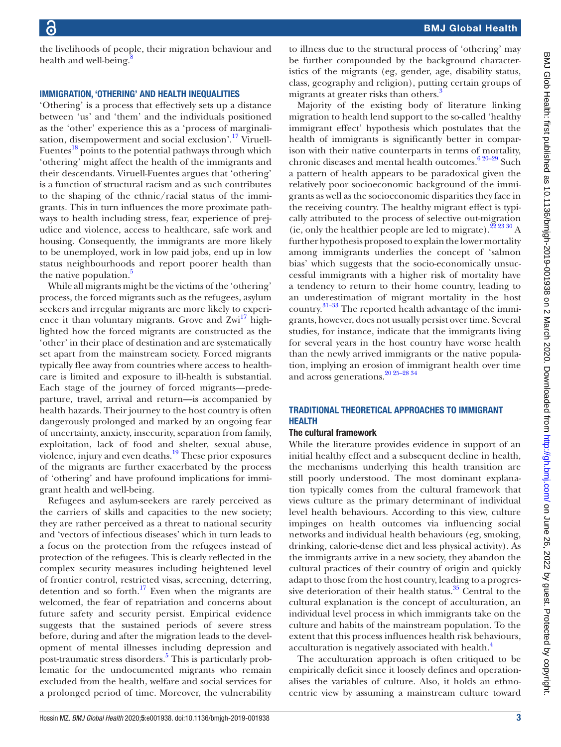the livelihoods of people, their migration behaviour and health and well-being. $\frac{8}{3}$ 

#### Immigration, 'othering' and health inequalities

'Othering' is a process that effectively sets up a distance between 'us' and 'them' and the individuals positioned as the 'other' experience this as a 'process of marginalisation, disempowerment and social exclusion'.<sup>17</sup> Viruell-Fuentes $^{18}$  points to the potential pathways through which 'othering' might affect the health of the immigrants and their descendants. Viruell-Fuentes argues that 'othering' is a function of structural racism and as such contributes to the shaping of the ethnic/racial status of the immigrants. This in turn influences the more proximate pathways to health including stress, fear, experience of prejudice and violence, access to healthcare, safe work and housing. Consequently, the immigrants are more likely to be unemployed, work in low paid jobs, end up in low status neighbourhoods and report poorer health than the native population.<sup>5</sup>

While all migrants might be the victims of the 'othering' process, the forced migrants such as the refugees, asylum seekers and irregular migrants are more likely to experi-ence it than voluntary migrants. Grove and Zwi<sup>[17](#page-5-13)</sup> highlighted how the forced migrants are constructed as the 'other' in their place of destination and are systematically set apart from the mainstream society. Forced migrants typically flee away from countries where access to healthcare is limited and exposure to ill-health is substantial. Each stage of the journey of forced migrants—predeparture, travel, arrival and return—is accompanied by health hazards. Their journey to the host country is often dangerously prolonged and marked by an ongoing fear of uncertainty, anxiety, insecurity, separation from family, exploitation, lack of food and shelter, sexual abuse, violence, injury and even deaths. $19$  These prior exposures of the migrants are further exacerbated by the process of 'othering' and have profound implications for immigrant health and well-being.

Refugees and asylum-seekers are rarely perceived as the carriers of skills and capacities to the new society; they are rather perceived as a threat to national security and 'vectors of infectious diseases' which in turn leads to a focus on the protection from the refugees instead of protection of the refugees. This is clearly reflected in the complex security measures including heightened level of frontier control, restricted visas, screening, deterring, detention and so forth.<sup>17</sup> Even when the migrants are welcomed, the fear of repatriation and concerns about future safety and security persist. Empirical evidence suggests that the sustained periods of severe stress before, during and after the migration leads to the development of mental illnesses including depression and post-traumatic stress disorders.<sup>[5](#page-5-4)</sup> This is particularly problematic for the undocumented migrants who remain excluded from the health, welfare and social services for a prolonged period of time. Moreover, the vulnerability

to illness due to the structural process of 'othering' may be further compounded by the background characteristics of the migrants (eg, gender, age, disability status, class, geography and religion), putting certain groups of migrants at greater risks than others.<sup>3</sup>

Majority of the existing body of literature linking migration to health lend support to the so-called 'healthy immigrant effect' hypothesis which postulates that the health of immigrants is significantly better in comparison with their native counterparts in terms of mortality, chronic diseases and mental health outcomes.<sup>[6 20–29](#page-5-16)</sup> Such a pattern of health appears to be paradoxical given the relatively poor socioeconomic background of the immigrants as well as the socioeconomic disparities they face in the receiving country. The healthy migrant effect is typically attributed to the process of selective out-migration (ie, only the healthier people are led to migrate).  $22\frac{23\frac{30}{2}}{24}$  A further hypothesis proposed to explain the lower mortality among immigrants underlies the concept of 'salmon bias' which suggests that the socio-economically unsuccessful immigrants with a higher risk of mortality have a tendency to return to their home country, leading to an underestimation of migrant mortality in the host country. $31-33$  The reported health advantage of the immigrants, however, does not usually persist over time. Several studies, for instance, indicate that the immigrants living for several years in the host country have worse health than the newly arrived immigrants or the native population, implying an erosion of immigrant health over time and across generations.<sup>20</sup> <sup>25-28</sup> <sup>34</sup>

#### Traditional theoretical approaches to immigrant **HEALTH**

#### The cultural framework

While the literature provides evidence in support of an initial healthy effect and a subsequent decline in health, the mechanisms underlying this health transition are still poorly understood. The most dominant explanation typically comes from the cultural framework that views culture as the primary determinant of individual level health behaviours. According to this view, culture impinges on health outcomes via influencing social networks and individual health behaviours (eg, smoking, drinking, calorie-dense diet and less physical activity). As the immigrants arrive in a new society, they abandon the cultural practices of their country of origin and quickly adapt to those from the host country, leading to a progressive deterioration of their health status. $35$  Central to the cultural explanation is the concept of acculturation, an individual level process in which immigrants take on the culture and habits of the mainstream population. To the extent that this process influences health risk behaviours, acculturation is negatively associated with health.<sup>4</sup>

The acculturation approach is often critiqued to be empirically deficit since it loosely defines and operationalises the variables of culture. Also, it holds an ethnocentric view by assuming a mainstream culture toward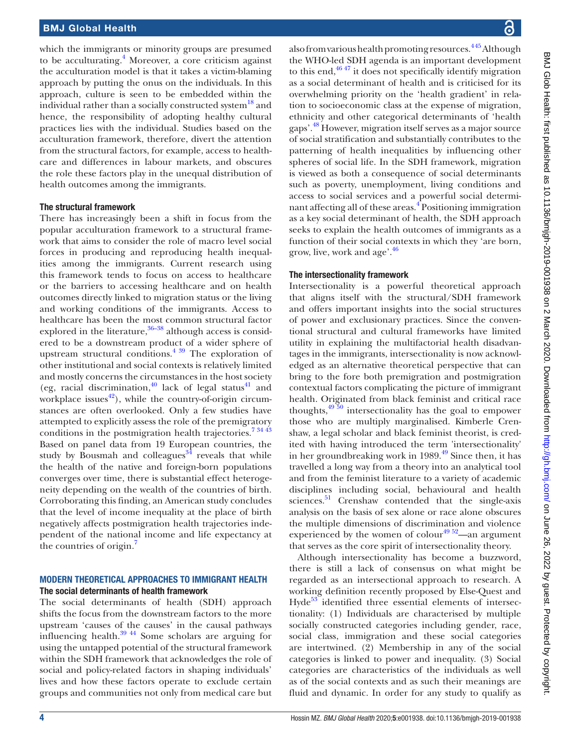which the immigrants or minority groups are presumed to be acculturating.<sup>[4](#page-5-3)</sup> Moreover, a core criticism against the acculturation model is that it takes a victim-blaming approach by putting the onus on the individuals. In this approach, culture is seen to be embedded within the individual rather than a socially constructed system<sup>18</sup> and hence, the responsibility of adopting healthy cultural practices lies with the individual. Studies based on the acculturation framework, therefore, divert the attention from the structural factors, for example, access to healthcare and differences in labour markets, and obscures the role these factors play in the unequal distribution of health outcomes among the immigrants.

#### The structural framework

There has increasingly been a shift in focus from the popular acculturation framework to a structural framework that aims to consider the role of macro level social forces in producing and reproducing health inequalities among the immigrants. Current research using this framework tends to focus on access to healthcare or the barriers to accessing healthcare and on health outcomes directly linked to migration status or the living and working conditions of the immigrants. Access to healthcare has been the most common structural factor explored in the literature, $36-38$  although access is considered to be a downstream product of a wider sphere of upstream structural conditions.<sup>4 39</sup> The exploration of other institutional and social contexts is relatively limited and mostly concerns the circumstances in the host society (eg, racial discrimination, $40$  lack of legal status $41$  and workplace issues<sup>42</sup>), while the country-of-origin circumstances are often overlooked. Only a few studies have attempted to explicitly assess the role of the premigratory conditions in the postmigration health trajectories[.7 34 43](#page-5-5) Based on panel data from 19 European countries, the study by Bousmah and colleagues $34$  reveals that while the health of the native and foreign-born populations converges over time, there is substantial effect heterogeneity depending on the wealth of the countries of birth. Corroborating this finding, an American study concludes that the level of income inequality at the place of birth negatively affects postmigration health trajectories independent of the national income and life expectancy at the countries of origin.[7](#page-5-5)

#### Modern theoretical approaches to immigrant health The social determinants of health framework

The social determinants of health (SDH) approach shifts the focus from the downstream factors to the more upstream 'causes of the causes' in the causal pathways influencing health. $39\frac{44}{1}$  Some scholars are arguing for using the untapped potential of the structural framework within the SDH framework that acknowledges the role of social and policy-related factors in shaping individuals' lives and how these factors operate to exclude certain groups and communities not only from medical care but

also from various health promoting resources.<sup>445</sup> Although the WHO-led SDH agenda is an important development to this end, $46\frac{47}{11}$  it does not specifically identify migration as a social determinant of health and is criticised for its overwhelming priority on the 'health gradient' in relation to socioeconomic class at the expense of migration, ethnicity and other categorical determinants of 'health gaps'[.48](#page-6-6) However, migration itself serves as a major source of social stratification and substantially contributes to the patterning of health inequalities by influencing other spheres of social life. In the SDH framework, migration is viewed as both a consequence of social determinants such as poverty, unemployment, living conditions and access to social services and a powerful social determinant affecting all of these areas.<sup>4</sup> Positioning immigration as a key social determinant of health, the SDH approach seeks to explain the health outcomes of immigrants as a function of their social contexts in which they 'are born, grow, live, work and age'[.46](#page-6-5)

#### The intersectionality framework

Intersectionality is a powerful theoretical approach that aligns itself with the structural/SDH framework and offers important insights into the social structures of power and exclusionary practices. Since the conventional structural and cultural frameworks have limited utility in explaining the multifactorial health disadvantages in the immigrants, intersectionality is now acknowledged as an alternative theoretical perspective that can bring to the fore both premigration and postmigration contextual factors complicating the picture of immigrant health. Originated from black feminist and critical race thoughts,  $49\frac{50}{6}$  intersectionality has the goal to empower those who are multiply marginalised. Kimberle Crenshaw, a legal scholar and black feminist theorist, is credited with having introduced the term 'intersectionality' in her groundbreaking work in 1989. $^{49}$  Since then, it has travelled a long way from a theory into an analytical tool and from the feminist literature to a variety of academic disciplines including social, behavioural and health sciences.<sup>51</sup> Crenshaw contended that the single-axis analysis on the basis of sex alone or race alone obscures the multiple dimensions of discrimination and violence experienced by the women of colour<sup>49 52</sup>—an argument that serves as the core spirit of intersectionality theory.

Although intersectionality has become a buzzword, there is still a lack of consensus on what might be regarded as an intersectional approach to research. A working definition recently proposed by Else-Quest and Hyde $53$  identified three essential elements of intersectionality: (1) Individuals are characterised by multiple socially constructed categories including gender, race, social class, immigration and these social categories are intertwined. (2) Membership in any of the social categories is linked to power and inequality. (3) Social categories are characteristics of the individuals as well as of the social contexts and as such their meanings are fluid and dynamic. In order for any study to qualify as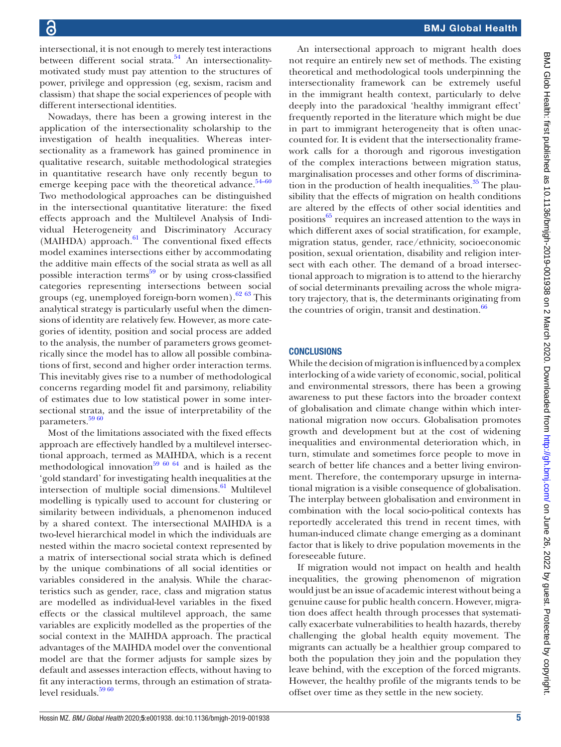intersectional, it is not enough to merely test interactions between different social strata. $54$  An intersectionalitymotivated study must pay attention to the structures of power, privilege and oppression (eg, sexism, racism and classism) that shape the social experiences of people with different intersectional identities.

Nowadays, there has been a growing interest in the application of the intersectionality scholarship to the investigation of health inequalities. Whereas intersectionality as a framework has gained prominence in qualitative research, suitable methodological strategies in quantitative research have only recently begun to emerge keeping pace with the theoretical advance.<sup>[54–60](#page-6-10)</sup> Two methodological approaches can be distinguished in the intersectional quantitative literature: the fixed effects approach and the Multilevel Analysis of Individual Heterogeneity and Discriminatory Accuracy  $(MAHIDA)$  approach.<sup>61</sup> The conventional fixed effects model examines intersections either by accommodating the additive main effects of the social strata as well as all possible interaction terms<sup>[59](#page-6-12)</sup> or by using cross-classified categories representing intersections between social groups (eg, unemployed foreign-born women).<sup>[62](#page-6-13) 63</sup> This analytical strategy is particularly useful when the dimensions of identity are relatively few. However, as more categories of identity, position and social process are added to the analysis, the number of parameters grows geometrically since the model has to allow all possible combinations of first, second and higher order interaction terms. This inevitably gives rise to a number of methodological concerns regarding model fit and parsimony, reliability of estimates due to low statistical power in some intersectional strata, and the issue of interpretability of the parameters.<sup>[59 60](#page-6-12)</sup>

Most of the limitations associated with the fixed effects approach are effectively handled by a multilevel intersectional approach, termed as MAIHDA, which is a recent methodological innovation<sup>59 60 64</sup> and is hailed as the 'gold standard' for investigating health inequalities at the intersection of multiple social dimensions. $61$  Multilevel modelling is typically used to account for clustering or similarity between individuals, a phenomenon induced by a shared context. The intersectional MAIHDA is a two-level hierarchical model in which the individuals are nested within the macro societal context represented by a matrix of intersectional social strata which is defined by the unique combinations of all social identities or variables considered in the analysis. While the characteristics such as gender, race, class and migration status are modelled as individual-level variables in the fixed effects or the classical multilevel approach, the same variables are explicitly modelled as the properties of the social context in the MAIHDA approach. The practical advantages of the MAIHDA model over the conventional model are that the former adjusts for sample sizes by default and assesses interaction effects, without having to fit any interaction terms, through an estimation of strata-level residuals.<sup>[59 60](#page-6-12)</sup>

An intersectional approach to migrant health does not require an entirely new set of methods. The existing theoretical and methodological tools underpinning the intersectionality framework can be extremely useful in the immigrant health context, particularly to delve deeply into the paradoxical 'healthy immigrant effect' frequently reported in the literature which might be due in part to immigrant heterogeneity that is often unaccounted for. It is evident that the intersectionality framework calls for a thorough and rigorous investigation of the complex interactions between migration status, marginalisation processes and other forms of discrimination in the production of health inequalities. $35$  The plausibility that the effects of migration on health conditions are altered by the effects of other social identities and positions<sup>65</sup> requires an increased attention to the ways in which different axes of social stratification, for example, migration status, gender, race/ethnicity, socioeconomic position, sexual orientation, disability and religion intersect with each other. The demand of a broad intersectional approach to migration is to attend to the hierarchy of social determinants prevailing across the whole migratory trajectory, that is, the determinants originating from the countries of origin, transit and destination. $\frac{66}{60}$  $\frac{66}{60}$  $\frac{66}{60}$ 

#### **CONCLUSIONS**

While the decision of migration is influenced by a complex interlocking of a wide variety of economic, social, political and environmental stressors, there has been a growing awareness to put these factors into the broader context of globalisation and climate change within which international migration now occurs. Globalisation promotes growth and development but at the cost of widening inequalities and environmental deterioration which, in turn, stimulate and sometimes force people to move in search of better life chances and a better living environment. Therefore, the contemporary upsurge in international migration is a visible consequence of globalisation. The interplay between globalisation and environment in combination with the local socio-political contexts has reportedly accelerated this trend in recent times, with human-induced climate change emerging as a dominant factor that is likely to drive population movements in the foreseeable future.

If migration would not impact on health and health inequalities, the growing phenomenon of migration would just be an issue of academic interest without being a genuine cause for public health concern. However, migration does affect health through processes that systematically exacerbate vulnerabilities to health hazards, thereby challenging the global health equity movement. The migrants can actually be a healthier group compared to both the population they join and the population they leave behind, with the exception of the forced migrants. However, the healthy profile of the migrants tends to be offset over time as they settle in the new society.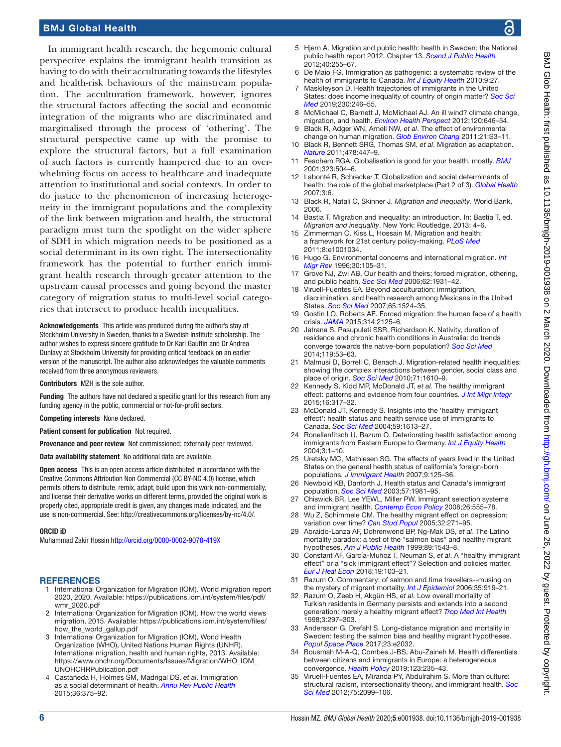In immigrant health research, the hegemonic cultural perspective explains the immigrant health transition as having to do with their acculturating towards the lifestyles and health-risk behaviours of the mainstream population. The acculturation framework, however, ignores the structural factors affecting the social and economic integration of the migrants who are discriminated and marginalised through the process of 'othering'. The structural perspective came up with the promise to explore the structural factors, but a full examination of such factors is currently hampered due to an overwhelming focus on access to healthcare and inadequate attention to institutional and social contexts. In order to do justice to the phenomenon of increasing heterogeneity in the immigrant populations and the complexity of the link between migration and health, the structural paradigm must turn the spotlight on the wider sphere of SDH in which migration needs to be positioned as a social determinant in its own right. The intersectionality framework has the potential to further enrich immigrant health research through greater attention to the upstream causal processes and going beyond the master category of migration status to multi-level social categories that intersect to produce health inequalities.

Acknowledgements This article was produced during the author's stay at Stockholm University in Sweden, thanks to a Swedish Institute scholarship. The author wishes to express sincere gratitude to Dr Karl Gauffin and Dr Andrea Dunlavy at Stockholm University for providing critical feedback on an earlier version of the manuscript. The author also acknowledges the valuable comments received from three anonymous reviewers.

Contributors MZH is the sole author.

Funding The authors have not declared a specific grant for this research from any funding agency in the public, commercial or not-for-profit sectors.

Competing interests None declared.

Patient consent for publication Not required.

Provenance and peer review Not commissioned; externally peer reviewed.

Data availability statement No additional data are available.

Open access This is an open access article distributed in accordance with the Creative Commons Attribution Non Commercial (CC BY-NC 4.0) license, which permits others to distribute, remix, adapt, build upon this work non-commercially, and license their derivative works on different terms, provided the original work is properly cited, appropriate credit is given, any changes made indicated, and the use is non-commercial. See: [http://creativecommons.org/licenses/by-nc/4.0/.](http://creativecommons.org/licenses/by-nc/4.0/)

#### ORCID iD

Muhammad Zakir Hossin <http://orcid.org/0000-0002-9078-419X>

#### <span id="page-5-0"></span>**REFERENCES**

- 1 International Organization for Migration (IOM). World migration report 2020, 2020. Available: [https://publications.iom.int/system/files/pdf/](https://publications.iom.int/system/files/pdf/wmr_2020.pdf) [wmr\\_2020.pdf](https://publications.iom.int/system/files/pdf/wmr_2020.pdf)
- <span id="page-5-1"></span>2 International Organization for Migration (IOM). How the world views migration, 2015. Available: [https://publications.iom.int/system/files/](https://publications.iom.int/system/files/how_the_world_gallup.pdf) [how\\_the\\_world\\_gallup.pdf](https://publications.iom.int/system/files/how_the_world_gallup.pdf)
- <span id="page-5-2"></span>3 International Organization for Migration (IOM), World Health Organization (WHO), United Nations Human Rights (UNHR). International migration, health and human rights, 2013. Available: [https://www.ohchr.org/Documents/Issues/Migration/WHO\\_IOM\\_](https://www.ohchr.org/Documents/Issues/Migration/WHO_IOM_UNOHCHRPublication.pdf) [UNOHCHRPublication.pdf](https://www.ohchr.org/Documents/Issues/Migration/WHO_IOM_UNOHCHRPublication.pdf)
- <span id="page-5-3"></span>4 Castañeda H, Holmes SM, Madrigal DS, *et al*. Immigration as a social determinant of health. *[Annu Rev Public Health](http://dx.doi.org/10.1146/annurev-publhealth-032013-182419)* 2015;36:375–92.
- <span id="page-5-4"></span>5 Hjern A. Migration and public health: health in Sweden: the National public health report 2012. Chapter 13. *[Scand J Public Health](http://dx.doi.org/10.1177/1403494812459610)* 2012;40:255–67.
- <span id="page-5-16"></span>De Maio FG. Immigration as pathogenic: a systematic review of the health of immigrants to Canada. *[Int J Equity Health](http://dx.doi.org/10.1186/1475-9276-9-27)* 2010;9:27.
- <span id="page-5-5"></span>7 Maskileyson D. Health trajectories of immigrants in the United States: does income inequality of country of origin matter? *[Soc Sci](http://dx.doi.org/10.1016/j.socscimed.2019.04.032)  [Med](http://dx.doi.org/10.1016/j.socscimed.2019.04.032)* 2019;230:246–55.
- <span id="page-5-6"></span>8 McMichael C, Barnett J, McMichael AJ. An ill wind? climate change, migration, and health. *[Environ Health Perspect](http://dx.doi.org/10.1289/ehp.1104375)* 2012;120:646–54.
- <span id="page-5-7"></span>9 Black R, Adger WN, Arnell NW, *et al*. The effect of environmental change on human migration. *[Glob Environ Chang](http://dx.doi.org/10.1016/j.gloenvcha.2011.10.001)* 2011;21:S3–11.
- 10 Black R, Bennett SRG, Thomas SM, *et al*. Migration as adaptation. *[Nature](http://dx.doi.org/10.1038/478477a)* 2011;478:447–9.
- <span id="page-5-8"></span>11 Feachem RGA. Globalisation is good for your health, mostly. *[BMJ](http://dx.doi.org/10.1136/bmj.323.7311.504)* 2001;323:504–6.
- <span id="page-5-9"></span>12 Labonté R, Schrecker T. Globalization and social determinants of health: the role of the global marketplace (Part 2 of 3). *[Global Health](http://dx.doi.org/10.1186/1744-8603-3-6)* 2007;3:6.
- <span id="page-5-10"></span>13 Black R, Natali C, Skinner J. *Migration and inequality*. World Bank, 2006.
- <span id="page-5-11"></span>14 Bastia T. Migration and inequality: an introduction. In: Bastia T, ed. *Migration and inequality*. New York: Routledge, 2013: 4–6.
- 15 Zimmerman C, Kiss L, Hossain M. Migration and health: a framework for 21st century policy-making. *[PLoS Med](http://dx.doi.org/10.1371/journal.pmed.1001034)* 2011;8:e1001034.
- <span id="page-5-12"></span>16 Hugo G. Environmental concerns and international migration. *[Int](http://dx.doi.org/10.1177/019791839603000110)  [Migr Rev](http://dx.doi.org/10.1177/019791839603000110)* 1996;30:105–31.
- <span id="page-5-13"></span>17 Grove NJ, Zwi AB. Our health and theirs: forced migration, othering, and public health. *[Soc Sci Med](http://dx.doi.org/10.1016/j.socscimed.2005.08.061)* 2006;62:1931–42.
- <span id="page-5-14"></span>18 Viruell-Fuentes EA. Beyond acculturation: immigration, discrimination, and health research among Mexicans in the United States. *[Soc Sci Med](http://dx.doi.org/10.1016/j.socscimed.2007.05.010)* 2007;65:1524–35.
- <span id="page-5-15"></span>19 Gostin LO, Roberts AE. Forced migration: the human face of a health crisis. *[JAMA](http://dx.doi.org/10.1001/jama.2015.14906)* 2015;314:2125–6.
- <span id="page-5-19"></span>20 Jatrana S, Pasupuleti SSR, Richardson K. Nativity, duration of residence and chronic health conditions in Australia: do trends converge towards the native-born population? *[Soc Sci Med](http://dx.doi.org/10.1016/j.socscimed.2014.08.008)* 2014;119:53–63.
- 21 Malmusi D, Borrell C, Benach J. Migration-related health inequalities: showing the complex interactions between gender, social class and place of origin. *[Soc Sci Med](http://dx.doi.org/10.1016/j.socscimed.2010.07.043)* 2010;71:1610–9.
- <span id="page-5-17"></span>22 Kennedy S, Kidd MP, McDonald JT, *et al*. The healthy immigrant effect: patterns and evidence from four countries. *[J Int Migr Integr](http://dx.doi.org/10.1007/s12134-014-0340-x)* 2015;16:317–32.
- 23 McDonald JT, Kennedy S. Insights into the 'healthy immigrant effect': health status and health service use of immigrants to Canada. *[Soc Sci Med](http://dx.doi.org/10.1016/j.socscimed.2004.02.004)* 2004;59:1613–27.
- 24 Ronellenfitsch U, Razum O. Deteriorating health satisfaction among immigrants from Eastern Europe to Germany. *[Int J Equity Health](http://dx.doi.org/10.1186/1475-9276-3-4)* 2004;3:1–10.
- 25 Uretsky MC, Mathiesen SG. The effects of years lived in the United States on the general health status of california's foreign-born populations. *[J Immigrant Health](http://dx.doi.org/10.1007/s10903-006-9017-7)* 2007;9:125–36.
- 26 Newbold KB, Danforth J. Health status and Canada's immigrant population. *[Soc Sci Med](http://dx.doi.org/10.1016/S0277-9536(03)00064-9)* 2003;57:1981–95.
- 27 Chiswick BR, Lee YEWL, Miller PW. Immigrant selection systems and immigrant health. *[Contemp Econ Policy](http://dx.doi.org/10.1111/j.1465-7287.2008.00099.x)* 2008;26:555–78.
- 28 Wu Z, Schimmele CM. The healthy migrant effect on depression: variation over time? *[Can Stud Popul](http://dx.doi.org/10.25336/P6DW3T)* 2005;32:271–95.
- 29 Abraído-Lanza AF, Dohrenwend BP, Ng-Mak DS, *et al*. The Latino mortality paradox: a test of the "salmon bias" and healthy migrant hypotheses. *[Am J Public Health](http://dx.doi.org/10.2105/AJPH.89.10.1543)* 1999;89:1543–8.
- 30 Constant AF, García-Muñoz T, Neuman S, *et al*. A "healthy immigrant effect" or a "sick immigrant effect"? Selection and policies matter. *[Eur J Heal Econ](http://dx.doi.org/10.1007/s10198-017-0870-1)* 2018;19:103–21.
- <span id="page-5-18"></span>31 Razum O. Commentary: of salmon and time travellers--musing on the mystery of migrant mortality. *[Int J Epidemiol](http://dx.doi.org/10.1093/ije/dyl143)* 2006;35:919–21.
- 32 Razum O, Zeeb H, Akgün HS, *et al*. Low overall mortality of Turkish residents in Germany persists and extends into a second generation: merely a healthy migrant effect? *[Trop Med Int Health](http://dx.doi.org/10.1046/j.1365-3156.1998.00233.x)* 1998;3:297–303.
- 33 Andersson G, Drefahl S. Long-distance migration and mortality in Sweden: testing the salmon bias and healthy migrant hypotheses. *[Popul Space Place](http://dx.doi.org/10.1002/psp.2032)* 2017;23:e2032.
- <span id="page-5-21"></span>34 Bousmah M-A-Q, Combes J-BS, Abu-Zaineh M. Health differentials between citizens and immigrants in Europe: a heterogeneous convergence. *[Health Policy](http://dx.doi.org/10.1016/j.healthpol.2018.12.005)* 2019;123:235–43.
- <span id="page-5-20"></span>35 Viruell-Fuentes EA, Miranda PY, Abdulrahim S. More than culture: structural racism, intersectionality theory, and immigrant health. *[Soc](http://dx.doi.org/10.1016/j.socscimed.2011.12.037)  [Sci Med](http://dx.doi.org/10.1016/j.socscimed.2011.12.037)* 2012;75:2099–106.